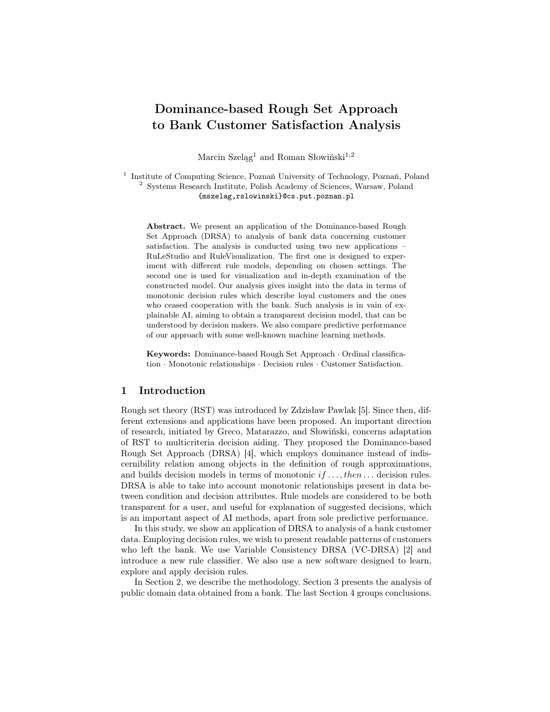# Dominance-based Rough Set Approach to Bank Customer Satisfaction Analysis

Marcin Szeląg<sup>1</sup> and Roman Słowiński<sup>1,2</sup>

<sup>1</sup> Institute of Computing Science, Poznań University of Technology, Poznań, Poland <sup>2</sup> Systems Research Institute, Polish Academy of Sciences, Warsaw, Poland {mszelag,rslowinski}@cs.put.poznan.pl

Abstract. We present an application of the Dominance-based Rough Set Approach (DRSA) to analysis of bank data concerning customer satisfaction. The analysis is conducted using two new applications – RuLeStudio and RuleVisualization. The first one is designed to experiment with different rule models, depending on chosen settings. The second one is used for visualization and in-depth examination of the constructed model. Our analysis gives insight into the data in terms of monotonic decision rules which describe loyal customers and the ones who ceased cooperation with the bank. Such analysis is in vain of explainable AI, aiming to obtain a transparent decision model, that can be understood by decision makers. We also compare predictive performance of our approach with some well-known machine learning methods.

Keywords: Dominance-based Rough Set Approach · Ordinal classification · Monotonic relationships · Decision rules · Customer Satisfaction.

# 1 Introduction

Rough set theory (RST) was introduced by Zdzisław Pawlak [5]. Since then, different extensions and applications have been proposed. An important direction of research, initiated by Greco, Matarazzo, and Słowiński, concerns adaptation of RST to multicriteria decision aiding. They proposed the Dominance-based Rough Set Approach (DRSA) [4], which employs dominance instead of indiscernibility relation among objects in the definition of rough approximations, and builds decision models in terms of monotonic  $if \ldots, then \ldots$  decision rules. DRSA is able to take into account monotonic relationships present in data between condition and decision attributes. Rule models are considered to be both transparent for a user, and useful for explanation of suggested decisions, which is an important aspect of AI methods, apart from sole predictive performance.

In this study, we show an application of DRSA to analysis of a bank customer data. Employing decision rules, we wish to present readable patterns of customers who left the bank. We use Variable Consistency DRSA (VC-DRSA) [2] and introduce a new rule classifier. We also use a new software designed to learn, explore and apply decision rules.

In Section 2, we describe the methodology. Section 3 presents the analysis of public domain data obtained from a bank. The last Section 4 groups conclusions.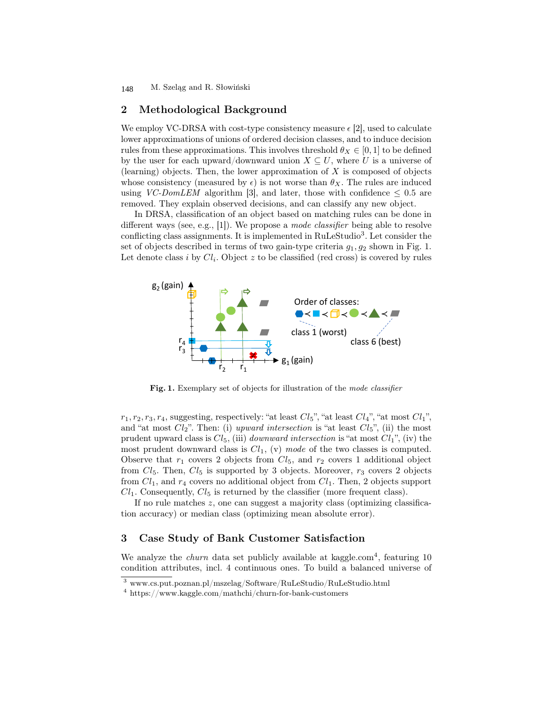M. Szeląg and R. Słowiński 148

## 2 Methodological Background

We employ VC-DRSA with cost-type consistency measure  $\epsilon$  [2], used to calculate lower approximations of unions of ordered decision classes, and to induce decision rules from these approximations. This involves threshold  $\theta_X \in [0,1]$  to be defined by the user for each upward/downward union  $X \subseteq U$ , where U is a universe of (learning) objects. Then, the lower approximation of  $X$  is composed of objects whose consistency (measured by  $\epsilon$ ) is not worse than  $\theta_X$ . The rules are induced using VC-DomLEM algorithm [3], and later, those with confidence  $\leq 0.5$  are removed. They explain observed decisions, and can classify any new object.

In DRSA, classification of an object based on matching rules can be done in different ways (see, e.g., [1]). We propose a *mode classifier* being able to resolve conflicting class assignments. It is implemented in RuLeStudio<sup>3</sup>. Let consider the set of objects described in terms of two gain-type criteria  $g_1, g_2$  shown in Fig. 1. Let denote class *i* by  $Cl_i$ . Object *z* to be classified (red cross) is covered by rules



Fig. 1. Exemplary set of objects for illustration of the mode classifier

 $r_1, r_2, r_3, r_4$ , suggesting, respectively: "at least  $Cl_5$ ", "at least  $Cl_4$ ", "at most  $Cl_1$ ", and "at most  $Cl_2$ ". Then: (i) upward intersection is "at least  $Cl_5$ ", (ii) the most prudent upward class is  $Cl_5$ , (iii) *downward intersection* is "at most  $Cl_1$ ", (iv) the most prudent downward class is  $Cl_1$ , (v) mode of the two classes is computed. Observe that  $r_1$  covers 2 objects from  $Cl_5$ , and  $r_2$  covers 1 additional object from  $Cl_5$ . Then,  $Cl_5$  is supported by 3 objects. Moreover,  $r_3$  covers 2 objects from  $Cl_1$ , and  $r_4$  covers no additional object from  $Cl_1$ . Then, 2 objects support  $Cl<sub>1</sub>$ . Consequently,  $Cl<sub>5</sub>$  is returned by the classifier (more frequent class).

If no rule matches z, one can suggest a majority class (optimizing classification accuracy) or median class (optimizing mean absolute error).

# 3 Case Study of Bank Customer Satisfaction

We analyze the *churn* data set publicly available at kaggle.com<sup>4</sup>, featuring 10 condition attributes, incl. 4 continuous ones. To build a balanced universe of

 $^3$ www.cs.put.poznan.pl/mszelag/Software/RuLeStudio/RuLeStudio.html

<sup>4</sup> https://www.kaggle.com/mathchi/churn-for-bank-customers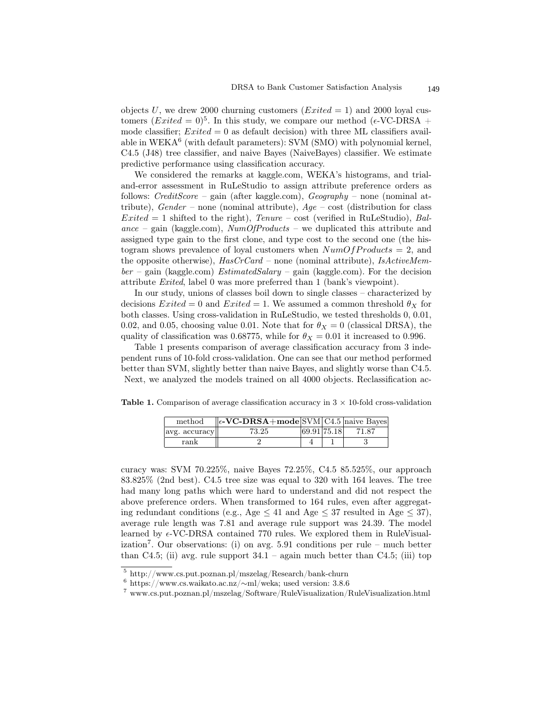objects U, we drew 2000 churning customers ( $Exited = 1$ ) and 2000 loyal customers  $(Exited = 0)^5$ . In this study, we compare our method ( $\epsilon$ -VC-DRSA + mode classifier;  $Exited = 0$  as default decision) with three ML classifiers available in  $WEXA<sup>6</sup>$  (with default parameters): SVM (SMO) with polynomial kernel, C4.5 (J48) tree classifier, and naive Bayes (NaiveBayes) classifier. We estimate predictive performance using classification accuracy.

We considered the remarks at kaggle.com, WEKA's histograms, and trialand-error assessment in RuLeStudio to assign attribute preference orders as follows:  $CreditScore - gain$  (after kaggle.com),  $Geography - none$  (nominal attribute),  $Gender$  – none (nominal attribute),  $Age$  – cost (distribution for class  $Extended = 1$  shifted to the right), Tenure – cost (verified in RuLeStudio), Balance – gain (kaggle.com),  $NumOfProducts$  – we duplicated this attribute and assigned type gain to the first clone, and type cost to the second one (the histogram shows prevalence of loyal customers when  $NumOfProducts = 2$ , and the opposite otherwise),  $HasCrCard$  – none (nominal attribute),  $IsActiveMem$  $ber - gain$  (kaggle.com) *EstimatedSalary* – gain (kaggle.com). For the decision attribute Exited, label 0 was more preferred than 1 (bank's viewpoint).

In our study, unions of classes boil down to single classes – characterized by decisions  $Exited = 0$  and  $Exited = 1$ . We assumed a common threshold  $\theta_X$  for both classes. Using cross-validation in RuLeStudio, we tested thresholds 0, 0.01, 0.02, and 0.05, choosing value 0.01. Note that for  $\theta_X = 0$  (classical DRSA), the quality of classification was 0.68775, while for  $\theta_X = 0.01$  it increased to 0.996.

Table 1 presents comparison of average classification accuracy from 3 independent runs of 10-fold cross-validation. One can see that our method performed better than SVM, slightly better than naive Bayes, and slightly worse than C4.5. Next, we analyzed the models trained on all 4000 objects. Reclassification ac-

**Table 1.** Comparison of average classification accuracy in  $3 \times 10$ -fold cross-validation

| method        | $\ \epsilon\text{-VC-DRSA}+\text{mode} SVM C4.5 $ naive Bayes |             |       |
|---------------|---------------------------------------------------------------|-------------|-------|
| avg. accuracy | 73.25                                                         | 69.91 75.18 | 71.87 |
| rank          |                                                               |             |       |

curacy was: SVM 70.225%, naive Bayes 72.25%, C4.5 85.525%, our approach 83.825% (2nd best). C4.5 tree size was equal to 320 with 164 leaves. The tree had many long paths which were hard to understand and did not respect the above preference orders. When transformed to 164 rules, even after aggregating redundant conditions (e.g., Age  $\leq 41$  and Age  $\leq 37$  resulted in Age  $\leq 37$ ), average rule length was 7.81 and average rule support was 24.39. The model learned by  $\epsilon$ -VC-DRSA contained 770 rules. We explored them in RuleVisualization<sup>7</sup> . Our observations: (i) on avg. 5.91 conditions per rule – much better than C4.5; (ii) avg. rule support  $34.1$  – again much better than C4.5; (iii) top

<sup>5</sup> http://www.cs.put.poznan.pl/mszelag/Research/bank-churn

<sup>6</sup> https://www.cs.waikato.ac.nz/∼ml/weka; used version: 3.8.6

<sup>7</sup> www.cs.put.poznan.pl/mszelag/Software/RuleVisualization/RuleVisualization.html